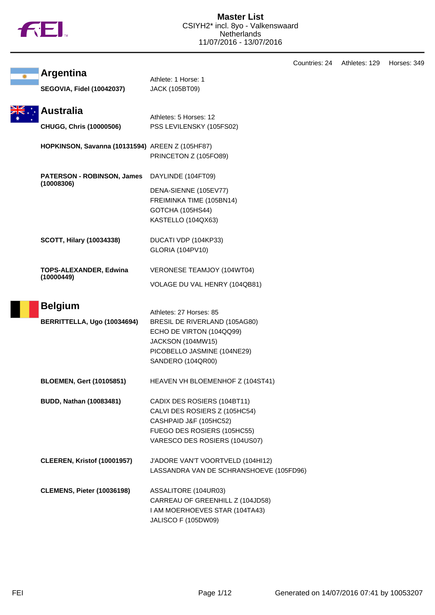

|                                                 |                                                  | Countries: 24 | Athletes: 129 | Horses: 349 |
|-------------------------------------------------|--------------------------------------------------|---------------|---------------|-------------|
| <b>Argentina</b>                                | Athlete: 1 Horse: 1                              |               |               |             |
| <b>SEGOVIA, Fidel (10042037)</b>                | <b>JACK (105BT09)</b>                            |               |               |             |
| <b>Australia</b>                                | Athletes: 5 Horses: 12                           |               |               |             |
| <b>CHUGG, Chris (10000506)</b>                  | PSS LEVILENSKY (105FS02)                         |               |               |             |
| HOPKINSON, Savanna (10131594) AREEN Z (105HF87) |                                                  |               |               |             |
|                                                 | PRINCETON Z (105FO89)                            |               |               |             |
| PATERSON - ROBINSON, James<br>(10008306)        | DAYLINDE (104FT09)                               |               |               |             |
|                                                 | DENA-SIENNE (105EV77)                            |               |               |             |
|                                                 | FREIMINKA TIME (105BN14)                         |               |               |             |
|                                                 | GOTCHA (105HS44)                                 |               |               |             |
|                                                 | KASTELLO (104QX63)                               |               |               |             |
| <b>SCOTT, Hilary (10034338)</b>                 | DUCATI VDP (104KP33)                             |               |               |             |
|                                                 | <b>GLORIA (104PV10)</b>                          |               |               |             |
| <b>TOPS-ALEXANDER, Edwina</b><br>(10000449)     | VERONESE TEAMJOY (104WT04)                       |               |               |             |
|                                                 | VOLAGE DU VAL HENRY (104QB81)                    |               |               |             |
| <b>Belgium</b>                                  |                                                  |               |               |             |
|                                                 | Athletes: 27 Horses: 85                          |               |               |             |
| BERRITTELLA, Ugo (10034694)                     | BRESIL DE RIVERLAND (105AG80)                    |               |               |             |
|                                                 | ECHO DE VIRTON (104QQ99)                         |               |               |             |
|                                                 | JACKSON (104MW15)                                |               |               |             |
|                                                 | PICOBELLO JASMINE (104NE29)<br>SANDERO (104QR00) |               |               |             |
| <b>BLOEMEN, Gert (10105851)</b>                 | HEAVEN VH BLOEMENHOF Z (104ST41)                 |               |               |             |
| <b>BUDD, Nathan (10083481)</b>                  | CADIX DES ROSIERS (104BT11)                      |               |               |             |
|                                                 | CALVI DES ROSIERS Z (105HC54)                    |               |               |             |
|                                                 | CASHPAID J&F (105HC52)                           |               |               |             |
|                                                 | FUEGO DES ROSIERS (105HC55)                      |               |               |             |
|                                                 | VARESCO DES ROSIERS (104US07)                    |               |               |             |
| <b>CLEEREN, Kristof (10001957)</b>              | J'ADORE VAN'T VOORTVELD (104HI12)                |               |               |             |
|                                                 | LASSANDRA VAN DE SCHRANSHOEVE (105FD96)          |               |               |             |
| <b>CLEMENS, Pieter (10036198)</b>               | ASSALITORE (104UR03)                             |               |               |             |
|                                                 | CARREAU OF GREENHILL Z (104JD58)                 |               |               |             |
|                                                 | I AM MOERHOEVES STAR (104TA43)                   |               |               |             |
|                                                 | <b>JALISCO F (105DW09)</b>                       |               |               |             |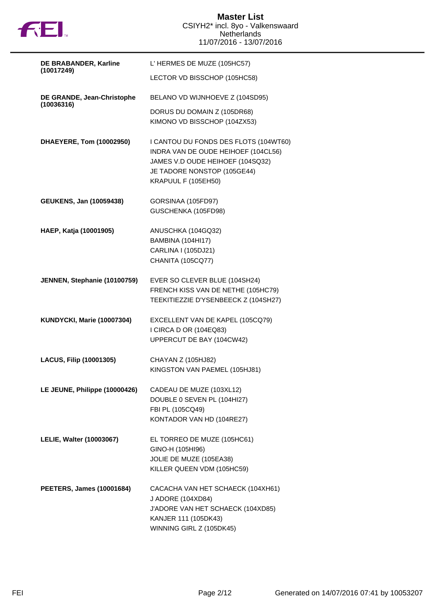

| DE BRABANDER, Karline                    | L' HERMES DE MUZE (105HC57)                                                                                                                                            |
|------------------------------------------|------------------------------------------------------------------------------------------------------------------------------------------------------------------------|
| (10017249)                               | LECTOR VD BISSCHOP (105HC58)                                                                                                                                           |
| DE GRANDE, Jean-Christophe<br>(10036316) | BELANO VD WIJNHOEVE Z (104SD95)                                                                                                                                        |
|                                          | DORUS DU DOMAIN Z (105DR68)<br>KIMONO VD BISSCHOP (104ZX53)                                                                                                            |
| DHAEYERE, Tom (10002950)                 | I CANTOU DU FONDS DES FLOTS (104WT60)<br>INDRA VAN DE OUDE HEIHOEF (104CL56)<br>JAMES V.D OUDE HEIHOEF (104SQ32)<br>JE TADORE NONSTOP (105GE44)<br>KRAPUUL F (105EH50) |
| <b>GEUKENS, Jan (10059438)</b>           | GORSINAA (105FD97)<br>GUSCHENKA (105FD98)                                                                                                                              |
| HAEP, Katja (10001905)                   | ANUSCHKA (104GQ32)<br>BAMBINA (104HI17)<br>CARLINA I (105DJ21)<br><b>CHANITA (105CQ77)</b>                                                                             |
| JENNEN, Stephanie (10100759)             | EVER SO CLEVER BLUE (104SH24)<br>FRENCH KISS VAN DE NETHE (105HC79)<br>TEEKITIEZZIE D'YSENBEECK Z (104SH27)                                                            |
| <b>KUNDYCKI, Marie (10007304)</b>        | EXCELLENT VAN DE KAPEL (105CQ79)<br>I CIRCA D OR (104EQ83)<br>UPPERCUT DE BAY (104CW42)                                                                                |
| <b>LACUS, Filip (10001305)</b>           | CHAYAN Z (105HJ82)<br>KINGSTON VAN PAEMEL (105HJ81)                                                                                                                    |
| LE JEUNE, Philippe (10000426)            | CADEAU DE MUZE (103XL12)<br>DOUBLE 0 SEVEN PL (104HI27)<br>FBI PL (105CQ49)<br>KONTADOR VAN HD (104RE27)                                                               |
| LELIE, Walter (10003067)                 | EL TORREO DE MUZE (105HC61)<br>GINO-H (105HI96)<br>JOLIE DE MUZE (105EA38)<br>KILLER QUEEN VDM (105HC59)                                                               |
| <b>PEETERS, James (10001684)</b>         | CACACHA VAN HET SCHAECK (104XH61)<br>J ADORE (104XD84)<br>J'ADORE VAN HET SCHAECK (104XD85)<br>KANJER 111 (105DK43)<br>WINNING GIRL Z (105DK45)                        |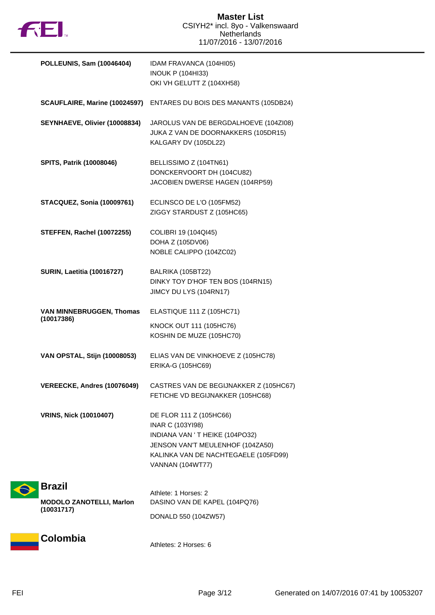

| POLLEUNIS, Sam (10046404)                                      | IDAM FRAVANCA (104HI05)<br><b>INOUK P (104HI33)</b><br>OKI VH GELUTT Z (104XH58)                                                                                                            |
|----------------------------------------------------------------|---------------------------------------------------------------------------------------------------------------------------------------------------------------------------------------------|
|                                                                | SCAUFLAIRE, Marine (10024597) ENTARES DU BOIS DES MANANTS (105DB24)                                                                                                                         |
| SEYNHAEVE, Olivier (10008834)                                  | JAROLUS VAN DE BERGDALHOEVE (104ZI08)<br>JUKA Z VAN DE DOORNAKKERS (105DR15)<br>KALGARY DV (105DL22)                                                                                        |
| SPITS, Patrik (10008046)                                       | BELLISSIMO Z (104TN61)<br>DONCKERVOORT DH (104CU82)<br>JACOBIEN DWERSE HAGEN (104RP59)                                                                                                      |
| <b>STACQUEZ, Sonia (10009761)</b>                              | ECLINSCO DE L'O (105FM52)<br>ZIGGY STARDUST Z (105HC65)                                                                                                                                     |
| <b>STEFFEN, Rachel (10072255)</b>                              | COLIBRI 19 (104QI45)<br>DOHA Z (105DV06)<br>NOBLE CALIPPO (104ZC02)                                                                                                                         |
| <b>SURIN, Laetitia (10016727)</b>                              | BALRIKA (105BT22)<br>DINKY TOY D'HOF TEN BOS (104RN15)<br>JIMCY DU LYS (104RN17)                                                                                                            |
| VAN MINNEBRUGGEN, Thomas<br>(10017386)                         | ELASTIQUE 111 Z (105HC71)<br>KNOCK OUT 111 (105HC76)<br>KOSHIN DE MUZE (105HC70)                                                                                                            |
| VAN OPSTAL, Stijn (10008053)                                   | ELIAS VAN DE VINKHOEVE Z (105HC78)<br>ERIKA-G (105HC69)                                                                                                                                     |
| VEREECKE, Andres (10076049)                                    | CASTRES VAN DE BEGIJNAKKER Z (105HC67)<br>FETICHE VD BEGIJNAKKER (105HC68)                                                                                                                  |
| <b>VRINS, Nick (10010407)</b>                                  | DE FLOR 111 Z (105HC66)<br><b>INAR C (103YI98)</b><br>INDIANA VAN 'T HEIKE (104PO32)<br>JENSON VAN'T MEULENHOF (104ZA50)<br>KALINKA VAN DE NACHTEGAELE (105FD99)<br><b>VANNAN (104WT77)</b> |
| <b>Brazil</b><br><b>MODOLO ZANOTELLI, Marlon</b><br>(10031717) | Athlete: 1 Horses: 2<br>DASINO VAN DE KAPEL (104PQ76)<br>DONALD 550 (104ZW57)                                                                                                               |
| Colombia                                                       |                                                                                                                                                                                             |

Athletes: 2 Horses: 6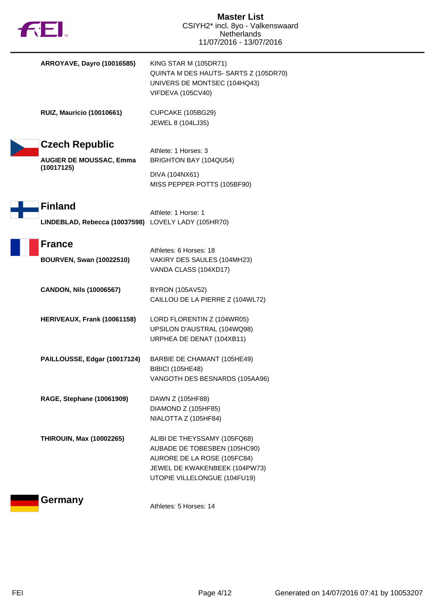| <b>ARROYAVE, Dayro (10016585)</b>                                     | <b>KING STAR M (105DR71)</b><br>QUINTA M DES HAUTS- SARTS Z (105DR70)<br>UNIVERS DE MONTSEC (104HQ43)<br><b>VIFDEVA (105CV40)</b>                            |
|-----------------------------------------------------------------------|--------------------------------------------------------------------------------------------------------------------------------------------------------------|
| <b>RUIZ, Mauricio (10010661)</b>                                      | CUPCAKE (105BG29)<br>JEWEL 8 (104LJ35)                                                                                                                       |
| <b>Czech Republic</b><br><b>AUGIER DE MOUSSAC, Emma</b><br>(10017125) | Athlete: 1 Horses: 3<br>BRIGHTON BAY (104QU54)<br>DIVA (104NX61)<br>MISS PEPPER POTTS (105BF90)                                                              |
| <b>Finland</b><br>LINDEBLAD, Rebecca (10037598) LOVELY LADY (105HR70) | Athlete: 1 Horse: 1                                                                                                                                          |
| <b>France</b><br><b>BOURVEN, Swan (10022510)</b>                      | Athletes: 6 Horses: 18<br>VAKIRY DES SAULES (104MH23)<br>VANDA CLASS (104XD17)                                                                               |
| <b>CANDON, Nils (10006567)</b>                                        | <b>BYRON (105AV52)</b><br>CAILLOU DE LA PIERRE Z (104WL72)                                                                                                   |
| HERIVEAUX, Frank (10061158)                                           | LORD FLORENTIN Z (104WR05)<br>UPSILON D'AUSTRAL (104WQ98)<br>URPHEA DE DENAT (104XB11)                                                                       |
| PAILLOUSSE, Edgar (10017124)                                          | BARBIE DE CHAMANT (105HE49)<br><b>BIBICI (105HE48)</b><br>VANGOTH DES BESNARDS (105AA96)                                                                     |
| RAGE, Stephane (10061909)                                             | DAWN Z (105HF88)<br>DIAMOND Z (105HF85)<br>NIALOTTA Z (105HF84)                                                                                              |
| <b>THIROUIN, Max (10002265)</b>                                       | ALIBI DE THEYSSAMY (105FQ68)<br>AUBADE DE TOBESBEN (105HC90)<br>AURORE DE LA ROSE (105FC84)<br>JEWEL DE KWAKENBEEK (104PW73)<br>UTOPIE VILLELONGUE (104FU19) |
| Germany                                                               | Athletes: 5 Horses: 14                                                                                                                                       |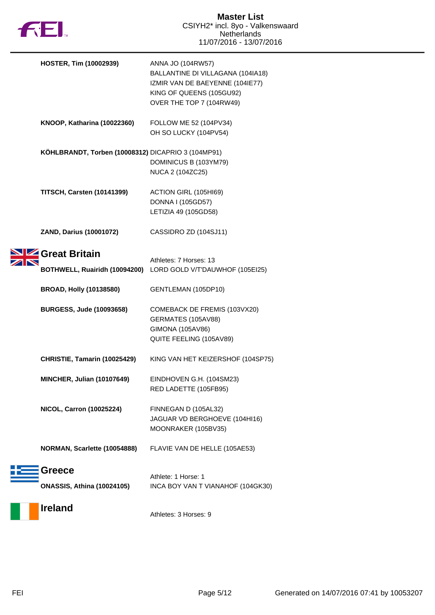

| <b>HOSTER, Tim (10002939)</b>                      | ANNA JO (104RW57)<br>BALLANTINE DI VILLAGANA (104IA18)<br>IZMIR VAN DE BAEYENNE (104IE77)<br>KING OF QUEENS (105GU92)<br>OVER THE TOP 7 (104RW49) |
|----------------------------------------------------|---------------------------------------------------------------------------------------------------------------------------------------------------|
| KNOOP, Katharina (10022360)                        | FOLLOW ME 52 (104PV34)<br>OH SO LUCKY (104PV54)                                                                                                   |
| KÖHLBRANDT, Torben (10008312) DICAPRIO 3 (104MP91) | DOMINICUS B (103YM79)<br>NUCA 2 (104ZC25)                                                                                                         |
| <b>TITSCH, Carsten (10141399)</b>                  | ACTION GIRL (105HI69)<br>DONNA I (105GD57)<br>LETIZIA 49 (105GD58)                                                                                |
| ZAND, Darius (10001072)                            | CASSIDRO ZD (104SJ11)                                                                                                                             |
| Great Britain<br>BOTHWELL, Ruairidh (10094200)     | Athletes: 7 Horses: 13<br>LORD GOLD V/T'DAUWHOF (105EI25)                                                                                         |
| <b>BROAD, Holly (10138580)</b>                     | GENTLEMAN (105DP10)                                                                                                                               |
| <b>BURGESS, Jude (10093658)</b>                    | COMEBACK DE FREMIS (103VX20)<br>GERMATES (105AV88)<br>GIMONA (105AV86)<br>QUITE FEELING (105AV89)                                                 |
| CHRISTIE, Tamarin (10025429)                       | KING VAN HET KEIZERSHOF (104SP75)                                                                                                                 |
| <b>MINCHER, Julian (10107649)</b>                  | EINDHOVEN G.H. (104SM23)<br>RED LADETTE (105FB95)                                                                                                 |
| <b>NICOL, Carron (10025224)</b>                    | FINNEGAN D (105AL32)<br>JAGUAR VD BERGHOEVE (104HI16)<br>MOONRAKER (105BV35)                                                                      |
| NORMAN, Scarlette (10054888)                       | FLAVIE VAN DE HELLE (105AE53)                                                                                                                     |
| <b>Greece</b><br><b>ONASSIS, Athina (10024105)</b> | Athlete: 1 Horse: 1<br>INCA BOY VAN T VIANAHOF (104GK30)                                                                                          |
| <b>Ireland</b>                                     | Athletes: 3 Horses: 9                                                                                                                             |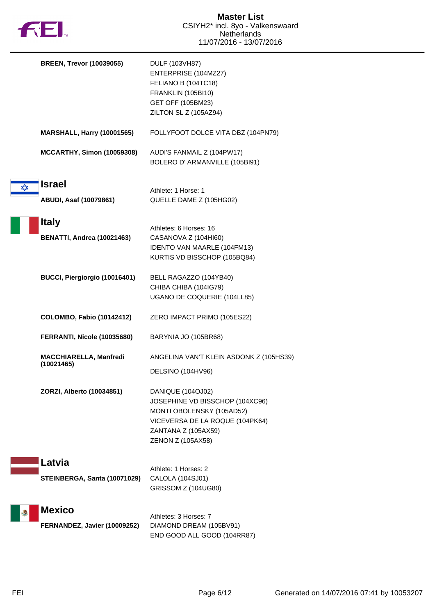

|   | <b>BREEN, Trevor (10039055)</b>                   | DULF (103VH87)<br>ENTERPRISE (104MZ27)<br>FELIANO B (104TC18)<br><b>FRANKLIN (105BI10)</b><br>GET OFF (105BM23)<br>ZILTON SL Z (105AZ94)                         |
|---|---------------------------------------------------|------------------------------------------------------------------------------------------------------------------------------------------------------------------|
|   | <b>MARSHALL, Harry (10001565)</b>                 | FOLLYFOOT DOLCE VITA DBZ (104PN79)                                                                                                                               |
|   | <b>MCCARTHY, Simon (10059308)</b>                 | AUDI'S FANMAIL Z (104PW17)<br>BOLERO D' ARMANVILLE (105BI91)                                                                                                     |
| ✿ | <b>Israel</b><br>ABUDI, Asaf (10079861)           | Athlete: 1 Horse: 1<br>QUELLE DAME Z (105HG02)                                                                                                                   |
|   | <b>Italy</b><br><b>BENATTI, Andrea (10021463)</b> | Athletes: 6 Horses: 16<br>CASANOVA Z (104HI60)<br><b>IDENTO VAN MAARLE (104FM13)</b><br>KURTIS VD BISSCHOP (105BQ84)                                             |
|   | BUCCI, Piergiorgio (10016401)                     | BELL RAGAZZO (104YB40)<br>CHIBA CHIBA (104IG79)<br>UGANO DE COQUERIE (104LL85)                                                                                   |
|   | <b>COLOMBO, Fabio (10142412)</b>                  | ZERO IMPACT PRIMO (105ES22)                                                                                                                                      |
|   | FERRANTI, Nicole (10035680)                       | BARYNIA JO (105BR68)                                                                                                                                             |
|   | <b>MACCHIARELLA, Manfredi</b><br>(10021465)       | ANGELINA VAN'T KLEIN ASDONK Z (105HS39)<br>DELSINO (104HV96)                                                                                                     |
|   | ZORZI, Alberto (10034851)                         | DANIQUE (104OJ02)<br>JOSEPHINE VD BISSCHOP (104XC96)<br>MONTI OBOLENSKY (105AD52)<br>VICEVERSA DE LA ROQUE (104PK64)<br>ZANTANA Z (105AX59)<br>ZENON Z (105AX58) |
|   | Latvia<br>STEINBERGA, Santa (10071029)            | Athlete: 1 Horses: 2<br>CALOLA (104SJ01)<br>GRISSOM Z (104UG80)                                                                                                  |
|   | <b>Mexico</b><br>FERNANDEZ, Javier (10009252)     | Athletes: 3 Horses: 7<br>DIAMOND DREAM (105BV91)<br>END GOOD ALL GOOD (104RR87)                                                                                  |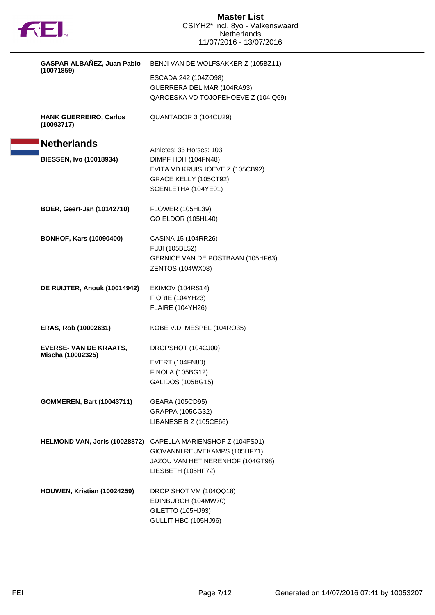

| GASPAR ALBAÑEZ, Juan Pablo                         | BENJI VAN DE WOLFSAKKER Z (105BZ11)                                                                                       |  |
|----------------------------------------------------|---------------------------------------------------------------------------------------------------------------------------|--|
| (10071859)                                         | ESCADA 242 (104ZO98)<br>GUERRERA DEL MAR (104RA93)<br>QAROESKA VD TOJOPEHOEVE Z (104IQ69)                                 |  |
| <b>HANK GUERREIRO, Carlos</b><br>(10093717)        | QUANTADOR 3 (104CU29)                                                                                                     |  |
| <b>Netherlands</b>                                 | Athletes: 33 Horses: 103                                                                                                  |  |
| <b>BIESSEN, Ivo (10018934)</b>                     | DIMPF HDH (104FN48)<br>EVITA VD KRUISHOEVE Z (105CB92)<br>GRACE KELLY (105CT92)<br>SCENLETHA (104YE01)                    |  |
| BOER, Geert-Jan (10142710)                         | <b>FLOWER (105HL39)</b><br>GO ELDOR (105HL40)                                                                             |  |
| <b>BONHOF, Kars (10090400)</b>                     | CASINA 15 (104RR26)<br><b>FUJI (105BL52)</b><br><b>GERNICE VAN DE POSTBAAN (105HF63)</b><br>ZENTOS (104WX08)              |  |
| DE RUIJTER, Anouk (10014942)                       | <b>EKIMOV (104RS14)</b><br><b>FIORIE (104YH23)</b><br><b>FLAIRE (104YH26)</b>                                             |  |
| ERAS, Rob (10002631)                               | KOBE V.D. MESPEL (104RO35)                                                                                                |  |
| <b>EVERSE- VAN DE KRAATS,</b><br>Mischa (10002325) | DROPSHOT (104CJ00)<br>EVERT (104FN80)<br><b>FINOLA (105BG12)</b><br><b>GALIDOS (105BG15)</b>                              |  |
| <b>GOMMEREN, Bart (10043711)</b>                   | GEARA (105CD95)<br>GRAPPA (105CG32)<br>LIBANESE B Z (105CE66)                                                             |  |
| HELMOND VAN, Joris (10028872)                      | CAPELLA MARIENSHOF Z (104FS01)<br>GIOVANNI REUVEKAMPS (105HF71)<br>JAZOU VAN HET NERENHOF (104GT98)<br>LIESBETH (105HF72) |  |
| HOUWEN, Kristian (10024259)                        | DROP SHOT VM (104QQ18)<br>EDINBURGH (104MW70)<br>GILETTO (105HJ93)<br>GULLIT HBC (105HJ96)                                |  |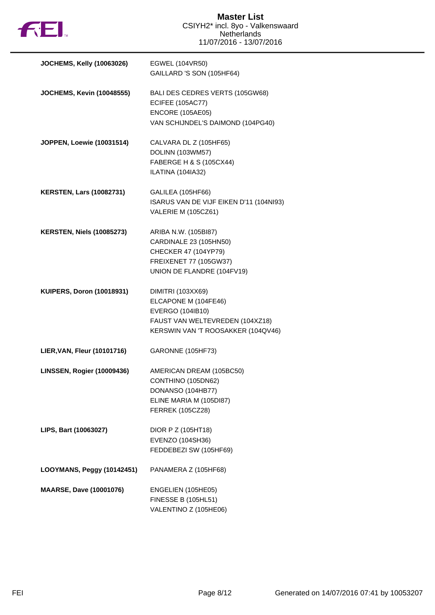

| <b>JOCHEMS, Kelly (10063026)</b> | EGWEL (104VR50)<br>GAILLARD 'S SON (105HF64)                                                                                           |
|----------------------------------|----------------------------------------------------------------------------------------------------------------------------------------|
| <b>JOCHEMS, Kevin (10048555)</b> | BALI DES CEDRES VERTS (105GW68)<br><b>ECIFEE (105AC77)</b><br><b>ENCORE (105AE05)</b><br>VAN SCHIJNDEL'S DAIMOND (104PG40)             |
| JOPPEN, Loewie (10031514)        | CALVARA DL Z (105HF65)<br>DOLINN (103WM57)<br>FABERGE H & S (105CX44)<br>ILATINA (104IA32)                                             |
| <b>KERSTEN, Lars (10082731)</b>  | GALILEA (105HF66)<br>ISARUS VAN DE VIJF EIKEN D'11 (104NI93)<br>VALERIE M (105CZ61)                                                    |
| <b>KERSTEN, Niels (10085273)</b> | ARIBA N.W. (105BI87)<br>CARDINALE 23 (105HN50)<br>CHECKER 47 (104YP79)<br>FREIXENET 77 (105GW37)<br>UNION DE FLANDRE (104FV19)         |
| <b>KUIPERS, Doron (10018931)</b> | DIMITRI (103XX69)<br>ELCAPONE M (104FE46)<br>EVERGO (104IB10)<br>FAUST VAN WELTEVREDEN (104XZ18)<br>KERSWIN VAN 'T ROOSAKKER (104QV46) |
| LIER, VAN, Fleur (10101716)      | GARONNE (105HF73)                                                                                                                      |
| LINSSEN, Rogier (10009436)       | AMERICAN DREAM (105BC50)<br>CONTHINO (105DN62)<br>DONANSO (104HB77)<br>ELINE MARIA M (105DI87)<br><b>FERREK (105CZ28)</b>              |
| LIPS, Bart (10063027)            | DIOR P Z (105HT18)<br>EVENZO (104SH36)<br>FEDDEBEZI SW (105HF69)                                                                       |
| LOOYMANS, Peggy (10142451)       | PANAMERA Z (105HF68)                                                                                                                   |
| <b>MAARSE, Dave (10001076)</b>   | ENGELIEN (105HE05)<br><b>FINESSE B (105HL51)</b><br>VALENTINO Z (105HE06)                                                              |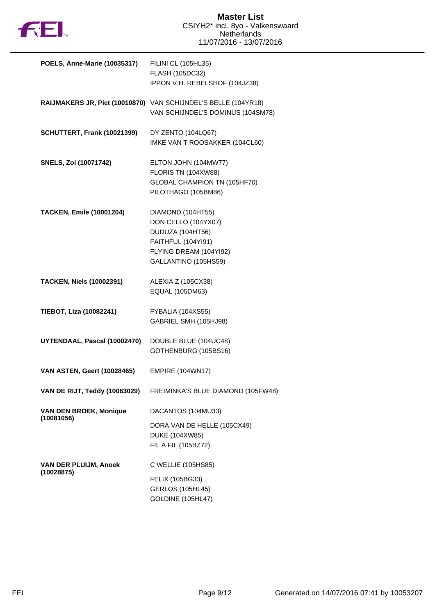

| POELS, Anne-Marie (10035317)                | FILINI CL (105HL35)<br>FLASH (105DC32)<br>IPPON V.H. REBELSHOF (104JZ38)                                                             |
|---------------------------------------------|--------------------------------------------------------------------------------------------------------------------------------------|
|                                             | RAIJMAKERS JR, Piet (10010870) VAN SCHIJNDEL'S BELLE (104YR18)<br>VAN SCHIJNDEL'S DOMINUS (104SM78)                                  |
| SCHUTTERT, Frank (10021399)                 | DY ZENTO (104LQ67)<br>IMKE VAN T ROOSAKKER (104CL60)                                                                                 |
| <b>SNELS, Zoi (10071742)</b>                | ELTON JOHN (104MW77)<br>FLORIS TN (104XW88)<br>GLOBAL CHAMPION TN (105HF70)<br>PILOTHAGO (105BM86)                                   |
| <b>TACKEN, Emile (10001204)</b>             | DIAMOND (104HT55)<br>DON CELLO (104YX07)<br>DUDUZA (104HT56)<br>FAITHFUL (104YI91)<br>FLYING DREAM (104YI92)<br>GALLANTINO (105HS59) |
| <b>TACKEN, Niels (10002391)</b>             | ALEXIA Z (105CX38)<br>EQUAL (105DM63)                                                                                                |
| TIEBOT, Liza (10082241)                     | FYBALIA (104XS55)<br>GABRIEL SMH (105HJ98)                                                                                           |
| UYTENDAAL, Pascal (10002470)                | DOUBLE BLUE (104UC48)<br>GOTHENBURG (105BS16)                                                                                        |
| <b>VAN ASTEN, Geert (10028465)</b>          | <b>EMPIRE (104WN17)</b>                                                                                                              |
| VAN DE RIJT, Teddy (10063029)               | FREIMINKA'S BLUE DIAMOND (105FW48)                                                                                                   |
| <b>VAN DEN BROEK, Monique</b><br>(10081056) | DACANTOS (104MU33)<br>DORA VAN DE HELLE (105CX49)<br>DUKE (104XW85)<br>FIL A FIL (105BZ72)                                           |
| VAN DER PLUIJM, Anoek<br>(10028875)         | C WELLIE (105HS85)<br>FELIX (105BG33)<br><b>GERLOS (105HL45)</b><br>GOLDINE (105HL47)                                                |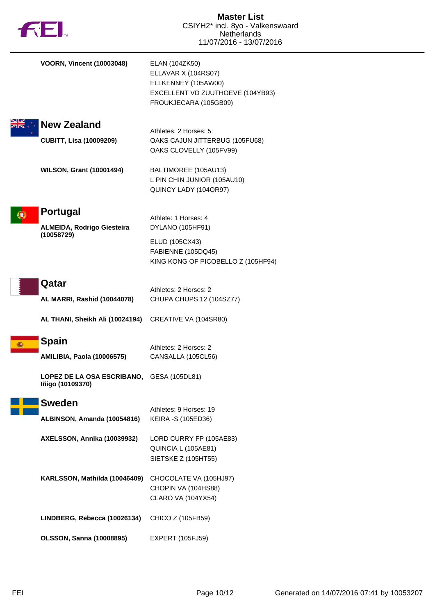|    | <b>FEI</b>                                                    | <b>Master List</b><br>CSIYH2* incl. 8yo - Valkenswaard<br>Netherlands<br>11/07/2016 - 13/07/2016                          |
|----|---------------------------------------------------------------|---------------------------------------------------------------------------------------------------------------------------|
|    | <b>VOORN, Vincent (10003048)</b>                              | ELAN (104ZK50)<br>ELLAVAR X (104RS07)<br>ELLKENNEY (105AW00)<br>EXCELLENT VD ZUUTHOEVE (104YB93)<br>FROUKJECARA (105GB09) |
|    | <b>New Zealand</b>                                            |                                                                                                                           |
|    | <b>CUBITT, Lisa (10009209)</b>                                | Athletes: 2 Horses: 5<br>OAKS CAJUN JITTERBUG (105FU68)<br>OAKS CLOVELLY (105FV99)                                        |
|    | <b>WILSON, Grant (10001494)</b>                               | BALTIMOREE (105AU13)<br>L PIN CHIN JUNIOR (105AU10)<br>QUINCY LADY (104OR97)                                              |
| 9. | <b>Portugal</b>                                               | Athlete: 1 Horses: 4                                                                                                      |
|    | ALMEIDA, Rodrigo Giesteira                                    | DYLANO (105HF91)                                                                                                          |
|    | (10058729)                                                    | ELUD (105CX43)<br>FABIENNE (105DQ45)<br>KING KONG OF PICOBELLO Z (105HF94)                                                |
|    | Qatar                                                         |                                                                                                                           |
|    | AL MARRI, Rashid (10044078)                                   | Athletes: 2 Horses: 2<br>CHUPA CHUPS 12 (104SZ77)                                                                         |
|    | AL THANI, Sheikh Ali (10024194)                               | CREATIVE VA (104SR80)                                                                                                     |
| 攝  | <b>Spain</b><br><b>AMILIBIA, Paola (10006575)</b>             | Athletes: 2 Horses: 2<br>CANSALLA (105CL56)                                                                               |
|    | LOPEZ DE LA OSA ESCRIBANO, GESA (105DL81)<br>Iñigo (10109370) |                                                                                                                           |
|    | <b>Sweden</b>                                                 |                                                                                                                           |
|    | ALBINSON, Amanda (10054816)                                   | Athletes: 9 Horses: 19<br>KEIRA -S (105ED36)                                                                              |
|    | AXELSSON, Annika (10039932)                                   | LORD CURRY FP (105AE83)<br>QUINCIA L (105AE81)<br>SIETSKE Z (105HT55)                                                     |
|    | KARLSSON, Mathilda (10046409)                                 | CHOCOLATE VA (105HJ97)<br>CHOPIN VA (104HS88)<br><b>CLARO VA (104YX54)</b>                                                |
|    | LINDBERG, Rebecca (10026134)                                  | CHICO Z (105FB59)                                                                                                         |
|    | <b>OLSSON, Sanna (10008895)</b>                               | <b>EXPERT (105FJ59)</b>                                                                                                   |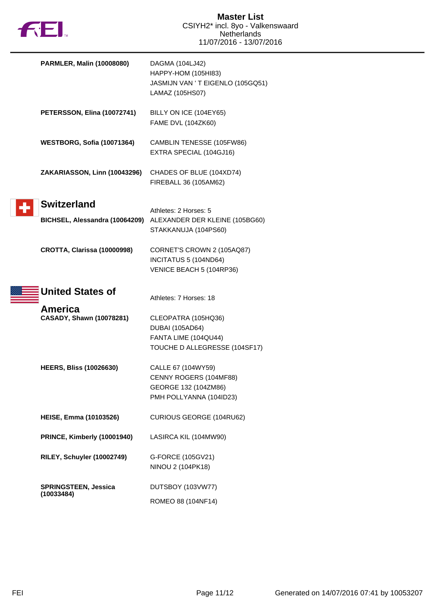

| PARMLER, Malin (10008080)                            | DAGMA (104LJ42)<br>HAPPY-HOM (105HI83)<br>JASMIJN VAN 'T EIGENLO (105GQ51)<br>LAMAZ (105HS07)          |
|------------------------------------------------------|--------------------------------------------------------------------------------------------------------|
| PETERSSON, Elina (10072741)                          | BILLY ON ICE (104EY65)<br>FAME DVL (104ZK60)                                                           |
| WESTBORG, Sofia (10071364)                           | CAMBLIN TENESSE (105FW86)<br>EXTRA SPECIAL (104GJ16)                                                   |
| ZAKARIASSON, Linn (10043296)                         | CHADES OF BLUE (104XD74)<br>FIREBALL 36 (105AM62)                                                      |
| <b>Switzerland</b><br>BICHSEL, Alessandra (10064209) | Athletes: 2 Horses: 5<br>ALEXANDER DER KLEINE (105BG60)<br>STAKKANUJA (104PS60)                        |
| <b>CROTTA, Clarissa (10000998)</b>                   | CORNET'S CROWN 2 (105AQ87)<br>INCITATUS 5 (104ND64)<br>VENICE BEACH 5 (104RP36)                        |
| <b>United States of</b>                              | Athletes: 7 Horses: 18                                                                                 |
| America<br><b>CASADY, Shawn (10078281)</b>           | CLEOPATRA (105HQ36)<br><b>DUBAI (105AD64)</b><br>FANTA LIME (104QU44)<br>TOUCHE D ALLEGRESSE (104SF17) |
| <b>HEERS, Bliss (10026630)</b>                       | CALLE 67 (104WY59)<br>CENNY ROGERS (104MF88)<br>GEORGE 132 (104ZM86)<br>PMH POLLYANNA (104ID23)        |
| <b>HEISE, Emma (10103526)</b>                        | CURIOUS GEORGE (104RU62)                                                                               |
| PRINCE, Kimberly (10001940)                          | LASIRCA KIL (104MW90)                                                                                  |
| RILEY, Schuyler (10002749)                           | G-FORCE (105GV21)<br>NINOU 2 (104PK18)                                                                 |
| <b>SPRINGSTEEN, Jessica</b>                          | DUTSBOY (103VW77)                                                                                      |